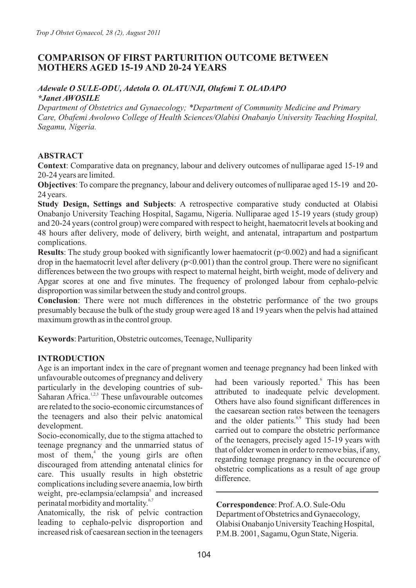# **COMPARISON OF FIRST PARTURITION OUTCOME BETWEEN MOTHERS AGED 15-19 AND 20-24 YEARS**

### *Adewale O SULE-ODU, Adetola O. OLATUNJI, Olufemi T. OLADAPO \*Janet AWOSILE*

*Department of Obstetrics and Gynaecology; \*Department of Community Medicine and Primary Care, Obafemi Awolowo College of Health Sciences/Olabisi Onabanjo University Teaching Hospital, Sagamu, Nigeria.*

# **ABSTRACT**

**Context**: Comparative data on pregnancy, labour and delivery outcomes of nulliparae aged 15-19 and 20-24 years are limited.

**Objectives**: To compare the pregnancy, labour and delivery outcomes of nulliparae aged 15-19 and 20- 24 years.

**Study Design, Settings and Subjects**: A retrospective comparative study conducted at Olabisi Onabanjo University Teaching Hospital, Sagamu, Nigeria. Nulliparae aged 15-19 years (study group) and 20-24 years (control group) were compared with respect to height, haematocrit levels at booking and 48 hours after delivery, mode of delivery, birth weight, and antenatal, intrapartum and postpartum complications.

**Results**: The study group booked with significantly lower haematocrit (p<0.002) and had a significant drop in the haematocrit level after delivery  $(p<0.001)$  than the control group. There were no significant differences between the two groups with respect to maternal height, birth weight, mode of delivery and Apgar scores at one and five minutes. The frequency of prolonged labour from cephalo-pelvic disproportion was similar between the study and control groups.

**Conclusion**: There were not much differences in the obstetric performance of the two groups presumably because the bulk of the study group were aged 18 and 19 years when the pelvis had attained maximum growth as in the control group.

**Keywords**: Parturition, Obstetric outcomes, Teenage, Nulliparity

# **INTRODUCTION**

Age is an important index in the care of pregnant women and teenage pregnancy had been linked with

unfavourable outcomes of pregnancy and delivery particularly in the developing countries of sub- $\frac{1}{2}$  Saharan Africa.<sup>1,2,3</sup> These unfavourable outcomes are related to the socio-economic circumstances of the teenagers and also their pelvic anatomical development.

Socio-economically, due to the stigma attached to teenage pregnancy and the unmarried status of most of them,<sup> $4$ </sup> the young girls are often discouraged from attending antenatal clinics for care. This usually results in high obstetric complications including severe anaemia, low birth weight, pre-eclampsia/eclampsia $\delta$  and increased perinatal morbidity and mortality.<sup>6,7</sup>

Anatomically, the risk of pelvic contraction leading to cephalo-pelvic disproportion and increased risk of caesarean section in the teenagers had been variously reported.<sup>6</sup> This has been attributed to inadequate pelvic development. Others have also found significant differences in the caesarean section rates between the teenagers and the older patients.<sup>8,9</sup> This study had been carried out to compare the obstetric performance of the teenagers, precisely aged 15-19 years with that of older women in order to remove bias, if any, regarding teenage pregnancy in the occurence of obstetric complications as a result of age group difference.

**Correspondence**: Prof. A.O. Sule-Odu Department of Obstetrics and Gynaecology, Olabisi Onabanjo University Teaching Hospital, P.M.B. 2001, Sagamu, Ogun State, Nigeria.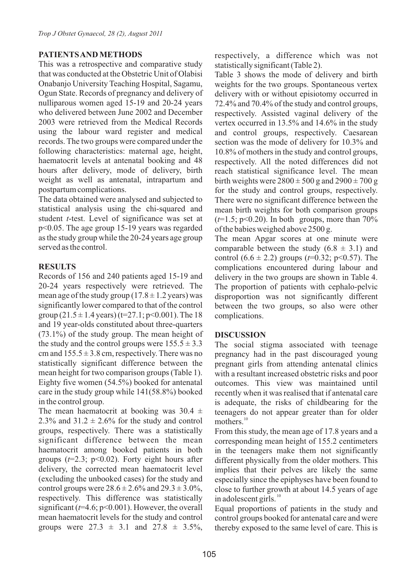### **PATIENTS AND METHODS**

This was a retrospective and comparative study that was conducted at the Obstetric Unit of Olabisi Onabanjo University Teaching Hospital, Sagamu, Ogun State. Records of pregnancy and delivery of nulliparous women aged 15-19 and 20-24 years who delivered between June 2002 and December 2003 were retrieved from the Medical Records using the labour ward register and medical records. The two groups were compared under the following characteristics: maternal age, height, haematocrit levels at antenatal booking and 48 hours after delivery, mode of delivery, birth weight as well as antenatal, intrapartum and postpartum complications.

The data obtained were analysed and subjected to statistical analysis using the chi-squared and student *t*-test. Level of significance was set at p<0.05. The age group 15-19 years was regarded as the study group while the 20-24 years age group served as the control.

# **RESULTS**

Records of 156 and 240 patients aged 15-19 and 20-24 years respectively were retrieved. The mean age of the study group  $(17.8 \pm 1.2 \text{ years})$  was significantly lower compared to that of the control group  $(21.5 \pm 1.4 \text{ years})$  (t=27.1; p<0.001). The 18 and 19 year-olds constituted about three-quarters (73.1%) of the study group. The mean height of the study and the control groups were  $155.5 \pm 3.3$ cm and  $155.5 \pm 3.8$  cm, respectively. There was no statistically significant difference between the mean height for two comparison groups (Table 1). Eighty five women (54.5%) booked for antenatal care in the study group while 141(58.8%) booked in the control group.

The mean haematocrit at booking was  $30.4 \pm$ 2.3% and  $31.2 \pm 2.6\%$  for the study and control groups, respectively. There was a statistically significant difference between the mean haematocrit among booked patients in both groups  $(t=2.3; \, p<0.02)$ . Forty eight hours after delivery, the corrected mean haematocrit level (excluding the unbooked cases) for the study and control groups were  $28.6 \pm 2.6\%$  and  $29.3 \pm 3.0\%$ , respectively. This difference was statistically significant (*t*=4.6; p<0.001). However, the overall mean haematocrit levels for the study and control groups were  $27.3 \pm 3.1$  and  $27.8 \pm 3.5\%$ , respectively, a difference which was not statistically significant (Table 2).

Table 3 shows the mode of delivery and birth weights for the two groups. Spontaneous vertex delivery with or without episiotomy occurred in 72.4% and 70.4% of the study and control groups, respectively. Assisted vaginal delivery of the vertex occurred in 13.5% and 14.6% in the study and control groups, respectively. Caesarean section was the mode of delivery for 10.3% and 10.8% of mothers in the study and control groups, respectively. All the noted differences did not reach statistical significance level. The mean birth weights were  $2800 \pm 500$  g and  $2900 \pm 700$  g for the study and control groups, respectively. There were no significant difference between the mean birth weights for both comparison groups  $(t=1.5; p<0.20)$ . In both groups, more than  $70\%$ of the babies weighed above 2500 g.

The mean Apgar scores at one minute were comparable between the study  $(6.8 \pm 3.1)$  and control  $(6.6 \pm 2.2)$  groups  $(t=0.32; \text{ p} < 0.57)$ . The complications encountered during labour and delivery in the two groups are shown in Table 4. The proportion of patients with cephalo-pelvic disproportion was not significantly different between the two groups, so also were other complications.

# **DISCUSSION**

The social stigma associated with teenage pregnancy had in the past discouraged young pregnant girls from attending antenatal clinics with a resultant increased obstetric risks and poor outcomes. This view was maintained until recently when it was realised that if antenatal care is adequate, the risks of childbearing for the teenagers do not appear greater than for older mothers $10$ 

From this study, the mean age of 17.8 years and a corresponding mean height of 155.2 centimeters in the teenagers make them not significantly different physically from the older mothers. This implies that their pelves are likely the same especially since the epiphyses have been found to close to further growth at about 14.5 years of age in adolescent girls. $^{10}$ 

Equal proportions of patients in the study and control groups booked for antenatal care and were thereby exposed to the same level of care. This is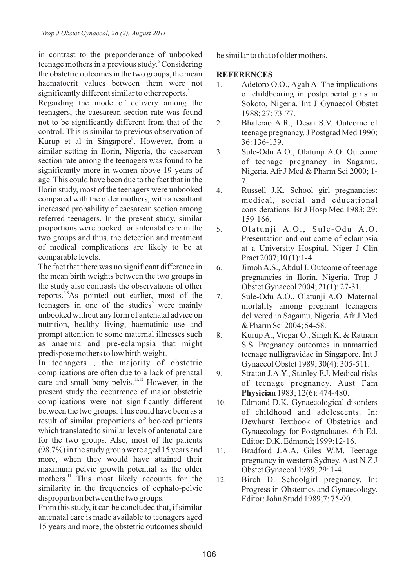in contrast to the preponderance of unbooked teenage mothers in a previous study. Considering the obstetric outcomes in the two groups, the mean haematocrit values between them were not significantly different similar to other reports.<sup>8</sup> Regarding the mode of delivery among the teenagers, the caesarean section rate was found not to be significantly different from that of the control. This is similar to previous observation of Kurup et al in Singapore<sup>8</sup>. However, from a similar setting in Ilorin, Nigeria, the caesarean section rate among the teenagers was found to be significantly more in women above 19 years of age. This could have been due to the fact that in the Ilorin study, most of the teenagers were unbooked compared with the older mothers, with a resultant increased probability of caesarean section among referred teenagers. In the present study, similar proportions were booked for antenatal care in the two groups and thus, the detection and treatment of medical complications are likely to be at comparable levels.

The fact that there was no significant difference in the mean birth weights between the two groups in the study also contrasts the observations of other reports.  $6,8$ As pointed out earlier, most of the teenagers in one of the studies<sup>6</sup> were mainly unbooked without any form of antenatal advice on nutrition, healthy living, haematinic use and prompt attention to some maternal illnesses such as anaemia and pre-eclampsia that might predispose mothers to low birth weight.

In teenagers , the majority of obstetric complications are often due to a lack of prenatal care and small bony pelvis.<sup>11,12</sup> However, in the present study the occurrence of major obstetric complications were not significantly different between the two groups. This could have been as a result of similar proportions of booked patients which translated to similar levels of antenatal care for the two groups. Also, most of the patients (98.7%) in the study group were aged 15 years and more, when they would have attained their maximum pelvic growth potential as the older mothers.<sup>11</sup> This most likely accounts for the similarity in the frequencies of cephalo-pelvic disproportion between the two groups.

From this study, it can be concluded that, if similar antenatal care is made available to teenagers aged 15 years and more, the obstetric outcomes should be similar to that of older mothers.

#### **REFERENCES**

- 1. Adetoro O.O., Agah A. The implications of childbearing in postpubertal girls in Sokoto, Nigeria. Int J Gynaecol Obstet 1988; 27: 73-77.
- 2. Bhalerao A.R., Desai S.V. Outcome of teenage pregnancy. J Postgrad Med 1990; 36: 136-139.
- 3. Sule-Odu A.O., Olatunji A.O. Outcome of teenage pregnancy in Sagamu, Nigeria. Afr J Med & Pharm Sci 2000; 1- 7.
- 4. Russell J.K. School girl pregnancies: medical, social and educational considerations. Br J Hosp Med 1983; 29: 159-166.
- 5. Olatunji A.O., Sule-Odu A.O. Presentation and out come of eclampsia at a University Hospital. Niger J Clin Pract 2007;10 (1):1-4.
- 6. Jimoh A.S., Abdul I. Outcome of teenage pregnancies in Ilorin, Nigeria. Trop J Obstet Gynaecol 2004; 21(1): 27-31.
- 7. Sule-Odu A.O., Olatunji A.O. Maternal mortality among pregnant teenagers delivered in Sagamu, Nigeria. Afr J Med & Pharm Sci 2004; 54-58.
- 8. Kurup A., Viegar O., Singh K. & Ratnam S.S. Pregnancy outcomes in unmarried teenage nulligravidae in Singapore. Int J Gynaecol Obstet 1989; 30(4): 305-511.
- 9. Straton J.A.Y., Stanley F.J. Medical risks of teenage pregnancy. Aust Fam **Physician** 1983; 12(6): 474-480.
- 10. Edmond D.K. Gynaecological disorders of childhood and adolescents. In: Dewhurst Textbook of Obstetrics and Gynaecology for Postgraduates. 6th Ed. Editor: D.K. Edmond; 1999:12-16.
- 11. Bradford J.A.A, Giles W.M. Teenage pregnancy in western Sydney. Aust N Z J Obstet Gynaecol 1989; 29: 1-4.
- 12. Birch D. Schoolgirl pregnancy. In: Progress in Obstetrics and Gynaecology. Editor: John Studd 1989;7: 75-90.